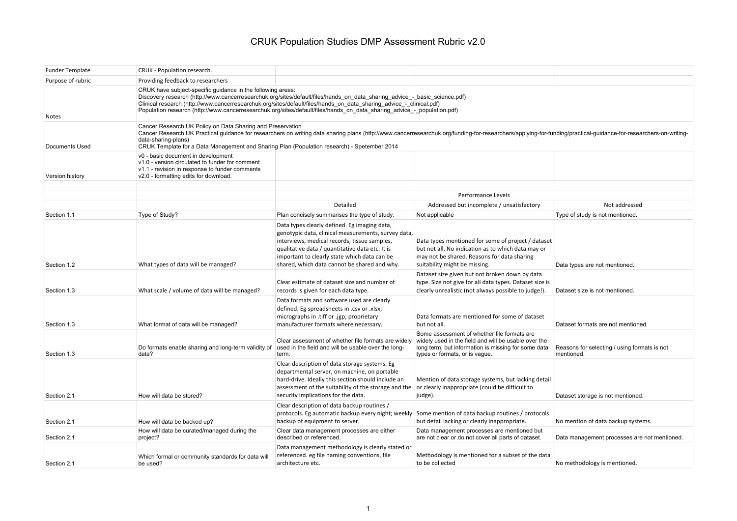| <b>Funder Template</b> | CRUK - Population research.                                                                                                                                                                                                                                                                                                                                                                          |                                                                                                                                                                                                                                                                                                                                                                             |                                                                                                                                                                                              |                                                            |  |
|------------------------|------------------------------------------------------------------------------------------------------------------------------------------------------------------------------------------------------------------------------------------------------------------------------------------------------------------------------------------------------------------------------------------------------|-----------------------------------------------------------------------------------------------------------------------------------------------------------------------------------------------------------------------------------------------------------------------------------------------------------------------------------------------------------------------------|----------------------------------------------------------------------------------------------------------------------------------------------------------------------------------------------|------------------------------------------------------------|--|
| Purpose of rubric      | Providing feedback to researchers                                                                                                                                                                                                                                                                                                                                                                    |                                                                                                                                                                                                                                                                                                                                                                             |                                                                                                                                                                                              |                                                            |  |
| Notes                  | CRUK have subject-specific guidance in the following areas:                                                                                                                                                                                                                                                                                                                                          | Discovery research (http://www.cancerresearchuk.org/sites/default/files/hands on data sharing advice - basic science.pdf)<br>Clinical research (http://www.cancerresearchuk.org/sites/default/files/hands on data sharing advice - clinical.pdf)<br>Population research (http://www.cancerresearchuk.org/sites/default/files/hands_on_data_sharing_advice - population.pdf) |                                                                                                                                                                                              |                                                            |  |
| Documents Used         | Cancer Research UK Policy on Data Sharing and Preservation<br>Cancer Research UK Practical guidance for researchers on writing data sharing plans (http://www.cancerresearchuk.org/funding-for-researchers/applying-for-funding/practical-guidance-for-researchers-on-writing-<br>data-sharing-plans)<br>CRUK Template for a Data Management and Sharing Plan (Population research) - Spetember 2014 |                                                                                                                                                                                                                                                                                                                                                                             |                                                                                                                                                                                              |                                                            |  |
| Version history        | v0 - basic document in development<br>v1.0 - version circulated to funder for comment<br>v1.1 - revision in response to funder comments<br>v2.0 - formatting edits for download.                                                                                                                                                                                                                     |                                                                                                                                                                                                                                                                                                                                                                             |                                                                                                                                                                                              |                                                            |  |
|                        |                                                                                                                                                                                                                                                                                                                                                                                                      | <b>Performance Levels</b>                                                                                                                                                                                                                                                                                                                                                   |                                                                                                                                                                                              |                                                            |  |
|                        |                                                                                                                                                                                                                                                                                                                                                                                                      | Detailed                                                                                                                                                                                                                                                                                                                                                                    | Addressed but incomplete / unsatisfactory                                                                                                                                                    | Not addressed                                              |  |
| Section 1.1            | Type of Study?                                                                                                                                                                                                                                                                                                                                                                                       | Plan concisely summarises the type of study.                                                                                                                                                                                                                                                                                                                                | Not applicable                                                                                                                                                                               | Type of study is not mentioned.                            |  |
| Section 1.2            | What types of data will be managed?                                                                                                                                                                                                                                                                                                                                                                  | Data types clearly defined. Eg imaging data,<br>genotypic data, clinical measurements, survey data,<br>interviews, medical records, tissue samples,<br>qualitative data / quantitative data etc. It is<br>important to clearly state which data can be<br>shared, which data cannot be shared and why.                                                                      | Data types mentioned for some of project / dataset<br>but not all. No indication as to which data may or<br>may not be shared. Reasons for data sharing<br>suitability might be missing.     | Data types are not mentioned.                              |  |
| Section 1.3            | What scale / volume of data will be managed?                                                                                                                                                                                                                                                                                                                                                         | Clear estimate of dataset size and number of<br>records is given for each data type.                                                                                                                                                                                                                                                                                        | Dataset size given but not broken down by data<br>type. Size not give for all data types. Dataset size is<br>clearly unrealistic (not always possible to judge!).                            | Dataset size is not mentioned.                             |  |
| Section 1.3            | What format of data will be managed?                                                                                                                                                                                                                                                                                                                                                                 | Data formats and software used are clearly<br>defined. Eg spreadsheets in .csv or .xlsx;<br>micrographs in .tiff or .jgp; proprietary<br>manufacturer formats where necessary.                                                                                                                                                                                              | Data formats are mentioned for some of dataset<br>but not all.                                                                                                                               | Dataset formats are not mentioned.                         |  |
| Section 1.3            | Do formats enable sharing and long-term validity of<br>data?                                                                                                                                                                                                                                                                                                                                         | Clear assessment of whether file formats are widely<br>used in the field and will be usable over the long-<br>term.                                                                                                                                                                                                                                                         | Some assessment of whether file formats are<br>widely used in the field and will be usable over the<br>long term, but information is missing for some data<br>types or formats, or is vague. | Reasons for selecting / using formats is not<br>mentioned. |  |
| Section 2.1            | How will data be stored?                                                                                                                                                                                                                                                                                                                                                                             | Clear description of data storage systems. Eg<br>departmental server, on machine, on portable<br>hard-drive. Ideally this section should include an<br>assessment of the suitability of the storage and the $\vert$ or clearly inappropriate (could be difficult to<br>security implications for the data.                                                                  | Mention of data storage systems, but lacking detail<br>judge).                                                                                                                               | Dataset storage is not mentioned.                          |  |
| Section 2.1            | How will data be backed up?                                                                                                                                                                                                                                                                                                                                                                          | Clear description of data backup routines /<br>backup of equipment to server.                                                                                                                                                                                                                                                                                               | protocols. Eg automatic backup every night; weekly Some mention of data backup routines / protocols<br>but detail lacking or clearly inappropriate.                                          | No mention of data backup systems.                         |  |
| Section 2.1            | How will data be curated/managed during the<br>project?                                                                                                                                                                                                                                                                                                                                              | Clear data management processes are either<br>described or referenced.                                                                                                                                                                                                                                                                                                      | Data management processes are mentioned but<br>are not clear or do not cover all parts of dataset.                                                                                           | Data management processes are not mentioned.               |  |
| Section 2.1            | Which formal or community standards for data will<br>be used?                                                                                                                                                                                                                                                                                                                                        | Data management methodology is clearly stated or<br>referenced. eg file naming conventions, file<br>architecture etc.                                                                                                                                                                                                                                                       | Methodology is mentioned for a subset of the data<br>to be collected                                                                                                                         | No methodology is mentioned.                               |  |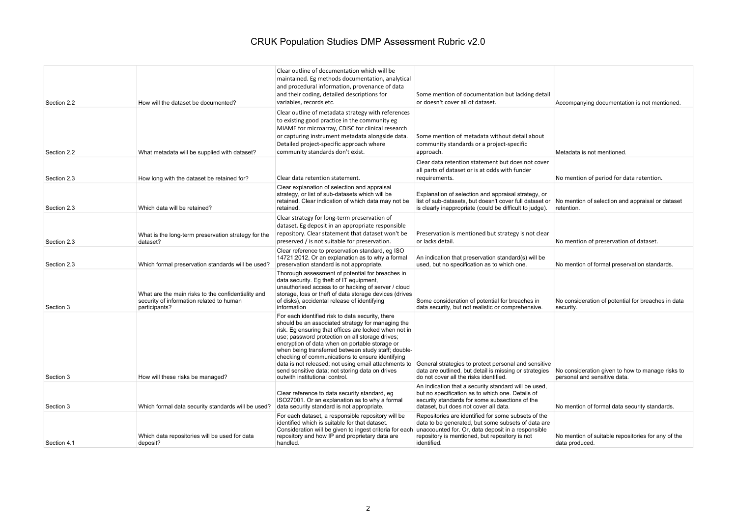| Section 2.2 | How will the dataset be documented?                                                                             | Clear outline of documentation which will be<br>maintained. Eg methods documentation, analytical<br>and procedural information, provenance of data<br>and their coding, detailed descriptions for<br>variables, records etc.                                                                                                                                                                                                                                                                                                | Some mention of documentation but lacking detail<br>or doesn't cover all of dataset.                                                                                                                                             | Accompanying documentation is not mentioned.                                     |
|-------------|-----------------------------------------------------------------------------------------------------------------|-----------------------------------------------------------------------------------------------------------------------------------------------------------------------------------------------------------------------------------------------------------------------------------------------------------------------------------------------------------------------------------------------------------------------------------------------------------------------------------------------------------------------------|----------------------------------------------------------------------------------------------------------------------------------------------------------------------------------------------------------------------------------|----------------------------------------------------------------------------------|
| Section 2.2 | What metadata will be supplied with dataset?                                                                    | Clear outline of metadata strategy with references<br>to existing good practice in the community eg<br>MIAME for microarray, CDISC for clinical research<br>or capturing instrument metadata alongside data.<br>Detailed project-specific approach where<br>community standards don't exist.                                                                                                                                                                                                                                | Some mention of metadata without detail about<br>community standards or a project-specific<br>approach.                                                                                                                          | Metadata is not mentioned.                                                       |
| Section 2.3 | How long with the dataset be retained for?                                                                      | Clear data retention statement.                                                                                                                                                                                                                                                                                                                                                                                                                                                                                             | Clear data retention statement but does not cover<br>all parts of dataset or is at odds with funder<br>requirements.                                                                                                             | No mention of period for data retention.                                         |
| Section 2.3 | Which data will be retained?                                                                                    | Clear explanation of selection and appraisal<br>strategy, or list of sub-datasets which will be<br>retained. Clear indication of which data may not be<br>retained.                                                                                                                                                                                                                                                                                                                                                         | Explanation of selection and appraisal strategy, or<br>list of sub-datasets, but doesn't cover full dataset or<br>is clearly inappropriate (could be difficult to judge).                                                        | No mention of selection and appraisal or dataset<br>retention.                   |
| Section 2.3 | What is the long-term preservation strategy for the<br>dataset?                                                 | Clear strategy for long-term preservation of<br>dataset. Eg deposit in an appropriate responsible<br>repository. Clear statement that dataset won't be<br>preserved / is not suitable for preservation.                                                                                                                                                                                                                                                                                                                     | Preservation is mentioned but strategy is not clear<br>or lacks detail.                                                                                                                                                          | No mention of preservation of dataset.                                           |
| Section 2.3 | Which formal preservation standards will be used?                                                               | Clear reference to preservation standard, eq ISO<br>14721:2012. Or an explanation as to why a formal<br>preservation standard is not appropriate.                                                                                                                                                                                                                                                                                                                                                                           | An indication that preservation standard(s) will be<br>used, but no specification as to which one.                                                                                                                               | No mention of formal preservation standards.                                     |
| Section 3   | What are the main risks to the confidentiality and<br>security of information related to human<br>participants? | Thorough assessment of potential for breaches in<br>data security. Eg theft of IT equipment,<br>unauthorised access to or hacking of server / cloud<br>storage, loss or theft of data storage devices (drives<br>of disks), accidental release of identifying<br>information                                                                                                                                                                                                                                                | Some consideration of potential for breaches in<br>data security, but not realistic or comprehensive.                                                                                                                            | No consideration of potential for breaches in data<br>security.                  |
| Section 3   | How will these risks be managed?                                                                                | For each identified risk to data security, there<br>should be an associated strategy for managing the<br>risk. Eg ensuring that offices are locked when not in<br>use; password protection on all storage drives;<br>encryption of data when on portable storage or<br>when being transferred between study staff; double-<br>checking of communications to ensure identifying<br>data is not released; not using email attachments to<br>send sensitive data; not storing data on drives<br>outwith institutional control. | General strategies to protect personal and sensitive<br>data are outlined, but detail is missing or strategies<br>do not cover all the risks identified.                                                                         | No consideration given to how to manage risks to<br>personal and sensitive data. |
| Section 3   | Which formal data security standards will be used?                                                              | Clear reference to data security standard, eg<br>ISO27001. Or an explanation as to why a formal<br>data security standard is not appropriate.                                                                                                                                                                                                                                                                                                                                                                               | An indication that a security standard will be used,<br>but no specification as to which one. Details of<br>security standards for some subsections of the<br>dataset, but does not cover all data.                              | No mention of formal data security standards.                                    |
| Section 4.1 | Which data repositories will be used for data<br>deposit?                                                       | For each dataset, a responsible repository will be<br>identified which is suitable for that dataset.<br>Consideration will be given to ingest criteria for each<br>repository and how IP and proprietary data are<br>handled.                                                                                                                                                                                                                                                                                               | Repositories are identified for some subsets of the<br>data to be generated, but some subsets of data are<br>unaccounted for. Or, data deposit in a responsible<br>repository is mentioned, but repository is not<br>identified. | No mention of suitable repositories for any of the<br>data produced.             |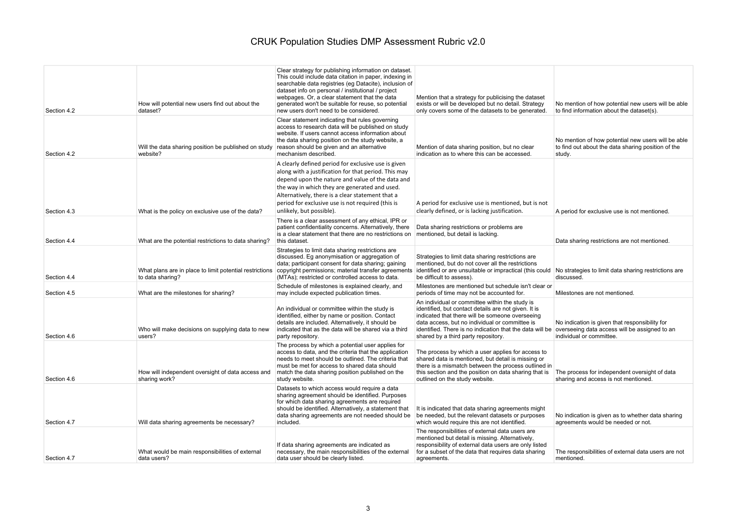| Section 4.2 | How will potential new users find out about the<br>dataset?                 | Clear strategy for publishing information on dataset.<br>This could include data citation in paper, indexing in<br>searchable data registries (eg Datacite), inclusion of<br>dataset info on personal / institutional / project<br>webpages. Or, a clear statement that the data<br>generated won't be suitable for reuse, so potential<br>new users don't need to be considered. | Mention that a strategy for publicising the dataset<br>exists or will be developed but no detail. Strategy<br>only covers some of the datasets to be generated.                                                                                                                                                | No mention of how potential new users will be able<br>to find information about the dataset(s).                             |
|-------------|-----------------------------------------------------------------------------|-----------------------------------------------------------------------------------------------------------------------------------------------------------------------------------------------------------------------------------------------------------------------------------------------------------------------------------------------------------------------------------|----------------------------------------------------------------------------------------------------------------------------------------------------------------------------------------------------------------------------------------------------------------------------------------------------------------|-----------------------------------------------------------------------------------------------------------------------------|
| Section 4.2 | Will the data sharing position be published on study<br>website?            | Clear statement indicating that rules governing<br>access to research data will be published on study<br>website. If users cannot access information about<br>the data sharing position on the study website, a<br>reason should be given and an alternative<br>mechanism described.                                                                                              | Mention of data sharing position, but no clear<br>indication as to where this can be accessed.                                                                                                                                                                                                                 | No mention of how potential new users will be able<br>to find out about the data sharing position of the<br>study.          |
| Section 4.3 | What is the policy on exclusive use of the data?                            | A clearly defined period for exclusive use is given<br>along with a justification for that period. This may<br>depend upon the nature and value of the data and<br>the way in which they are generated and used.<br>Alternatively, there is a clear statement that a<br>period for exclusive use is not required (this is<br>unlikely, but possible).                             | A period for exclusive use is mentioned, but is not<br>clearly defined, or is lacking justification.                                                                                                                                                                                                           | A period for exclusive use is not mentioned.                                                                                |
| Section 4.4 | What are the potential restrictions to data sharing?                        | There is a clear assessment of any ethical, IPR or<br>patient confidentiality concerns. Alternatively, there<br>is a clear statement that there are no restrictions on<br>this dataset.                                                                                                                                                                                           | Data sharing restrictions or problems are<br>mentioned, but detail is lacking.                                                                                                                                                                                                                                 | Data sharing restrictions are not mentioned.                                                                                |
| Section 4.4 | What plans are in place to limit potential restrictions<br>to data sharing? | Strategies to limit data sharing restrictions are<br>discussed. Eg anonymisation or aggregation of<br>data; participant consent for data sharing; gaining<br>copyright permissions; material transfer agreements<br>(MTAs); restricted or controlled access to data.                                                                                                              | Strategies to limit data sharing restrictions are<br>mentioned, but do not cover all the restrictions<br>identified or are unsuitable or impractical (this could No strategies to limit data sharing restrictions are<br>be difficult to assess).                                                              | discussed.                                                                                                                  |
| Section 4.5 | What are the milestones for sharing?                                        | Schedule of milestones is explained clearly, and<br>may include expected publication times.                                                                                                                                                                                                                                                                                       | Milestones are mentioned but schedule isn't clear or<br>periods of time may not be accounted for.                                                                                                                                                                                                              | Milestones are not mentioned.                                                                                               |
| Section 4.6 | Who will make decisions on supplying data to new<br>users?                  | An individual or committee within the study is<br>identified, either by name or position. Contact<br>details are included. Alternatively, it should be<br>indicated that as the data will be shared via a third<br>party repository.                                                                                                                                              | An individual or committee within the study is<br>identified, but contact details are not given. It is<br>indicated that there will be someone overseeing<br>data access, but no individual or committee is<br>identified. There is no indication that the data will be<br>shared by a third party repository. | No indication is given that responsibility for<br>overseeing data access will be assigned to an<br>individual or committee. |
| Section 4.6 | How will independent oversight of data access and<br>sharing work?          | The process by which a potential user applies for<br>access to data, and the criteria that the application<br>needs to meet should be outlined. The criteria that<br>must be met for access to shared data should<br>match the data sharing position published on the<br>study website.                                                                                           | The process by which a user applies for access to<br>shared data is mentioned, but detail is missing or<br>there is a mismatch between the process outlined in<br>this section and the position on data sharing that is<br>outlined on the study website.                                                      | The process for independent oversight of data<br>sharing and access is not mentioned.                                       |
| Section 4.7 | Will data sharing agreements be necessary?                                  | Datasets to which access would require a data<br>sharing agreement should be identified. Purposes<br>for which data sharing agreements are required<br>should be identified. Alternatively, a statement that<br>data sharing agreements are not needed should be<br>included.                                                                                                     | It is indicated that data sharing agreements might<br>be needed, but the relevant datasets or purposes<br>which would require this are not identified.                                                                                                                                                         | No indication is given as to whether data sharing<br>agreements would be needed or not.                                     |
| Section 4.7 | What would be main responsibilities of external<br>data users?              | If data sharing agreements are indicated as<br>necessary, the main responsibilities of the external<br>data user should be clearly listed.                                                                                                                                                                                                                                        | The responsibilities of external data users are<br>mentioned but detail is missing. Alternatively,<br>responsibility of external data users are only listed<br>for a subset of the data that requires data sharing<br>agreements.                                                                              | The responsibilities of external data users are not<br>mentioned.                                                           |